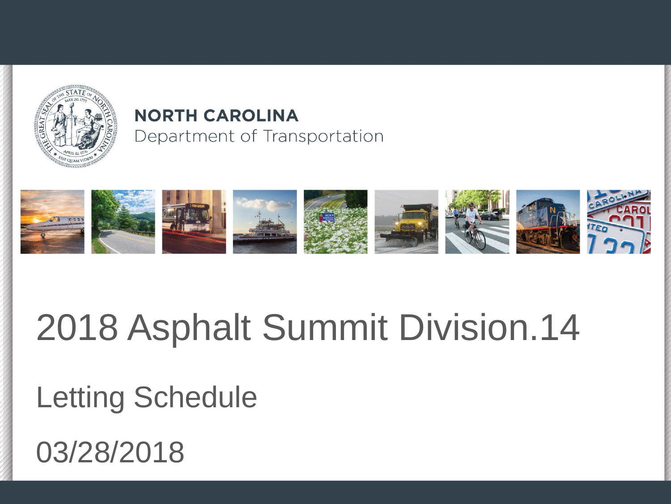

#### **NORTH CAROLINA** Department of Transportation



#### 2018 Asphalt Summit Division.14

#### Letting Schedule

03/28/2018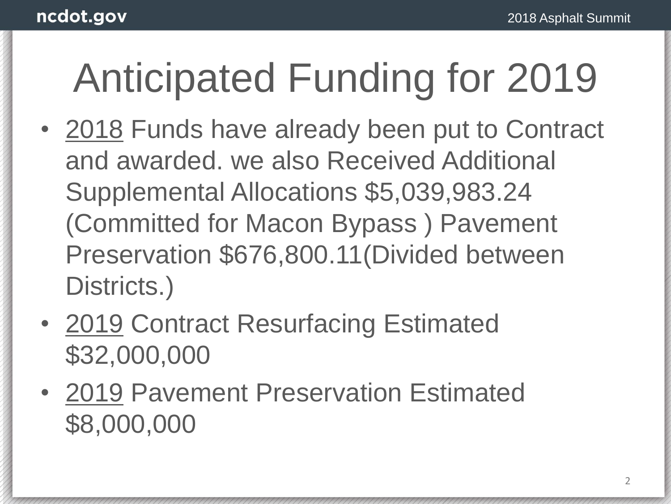#### Anticipated Funding for 2019

- 2018 Funds have already been put to Contract and awarded. we also Received Additional Supplemental Allocations \$5,039,983.24 (Committed for Macon Bypass ) Pavement Preservation \$676,800.11(Divided between Districts.)
- 2019 Contract Resurfacing Estimated \$32,000,000
- 2019 Pavement Preservation Estimated \$8,000,000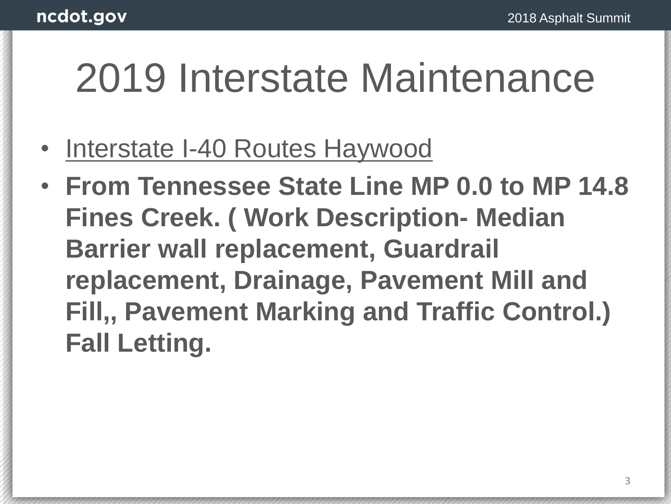#### 2019 Interstate Maintenance

- Interstate I-40 Routes Haywood
- **From Tennessee State Line MP 0.0 to MP 14.8 Fines Creek. ( Work Description- Median Barrier wall replacement, Guardrail replacement, Drainage, Pavement Mill and Fill,, Pavement Marking and Traffic Control.) Fall Letting.**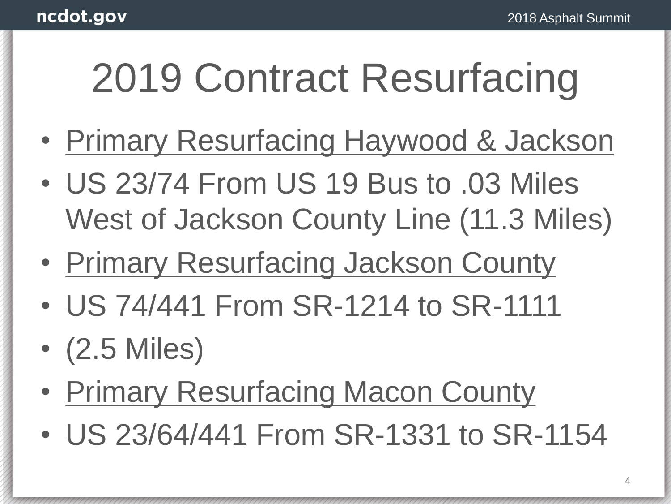- Primary Resurfacing Haywood & Jackson
- US 23/74 From US 19 Bus to .03 Miles West of Jackson County Line (11.3 Miles)
- Primary Resurfacing Jackson County
- US 74/441 From SR-1214 to SR-1111
- (2.5 Miles)
- Primary Resurfacing Macon County
- US 23/64/441 From SR-1331 to SR-1154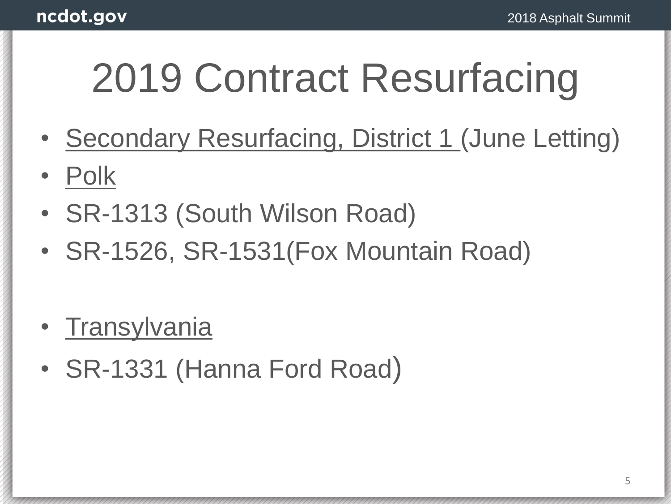- Secondary Resurfacing, District 1 (June Letting)
- Polk
- SR-1313 (South Wilson Road)
- SR-1526, SR-1531(Fox Mountain Road)
- Transylvania
- SR-1331 (Hanna Ford Road)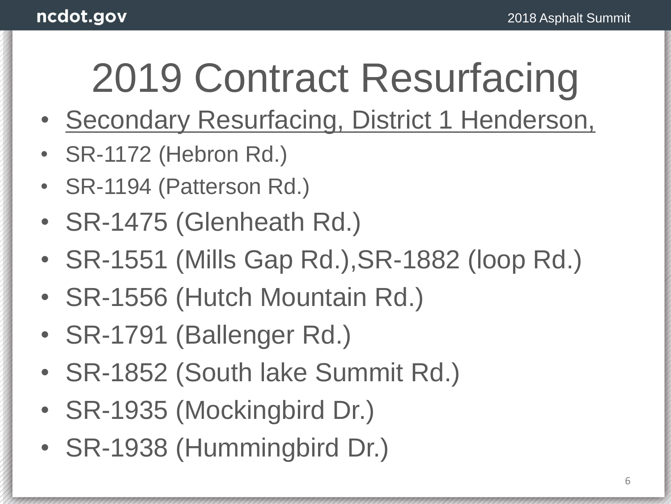- Secondary Resurfacing, District 1 Henderson,
- SR-1172 (Hebron Rd.)
- SR-1194 (Patterson Rd.)
- SR-1475 (Glenheath Rd.)
- SR-1551 (Mills Gap Rd.),SR-1882 (loop Rd.)
- SR-1556 (Hutch Mountain Rd.)
- SR-1791 (Ballenger Rd.)
- SR-1852 (South lake Summit Rd.)
- SR-1935 (Mockingbird Dr.)
- SR-1938 (Hummingbird Dr.)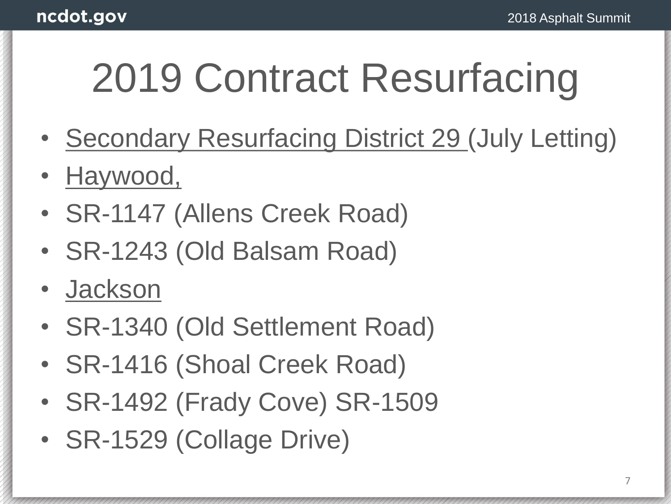- Secondary Resurfacing District 29 (July Letting)
- Haywood,
- SR-1147 (Allens Creek Road)
- SR-1243 (Old Balsam Road)
- Jackson
- SR-1340 (Old Settlement Road)
- SR-1416 (Shoal Creek Road)
- SR-1492 (Frady Cove) SR-1509
- SR-1529 (Collage Drive)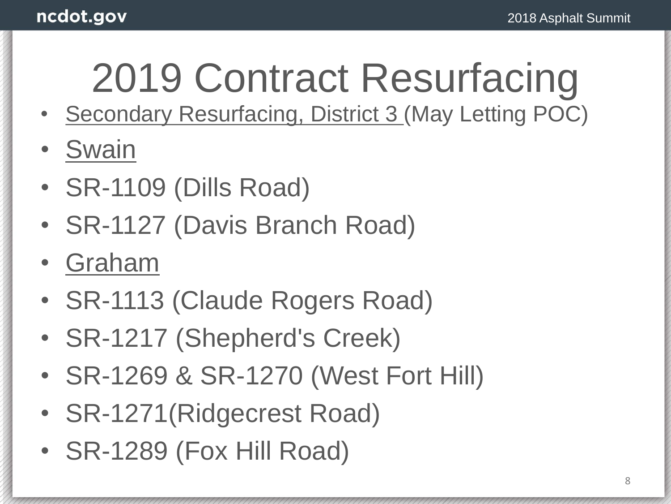- Secondary Resurfacing, District 3 (May Letting POC)
- Swain
- SR-1109 (Dills Road)
- SR-1127 (Davis Branch Road)
- Graham
- SR-1113 (Claude Rogers Road)
- SR-1217 (Shepherd's Creek)
- SR-1269 & SR-1270 (West Fort Hill)
- SR-1271(Ridgecrest Road)
- SR-1289 (Fox Hill Road)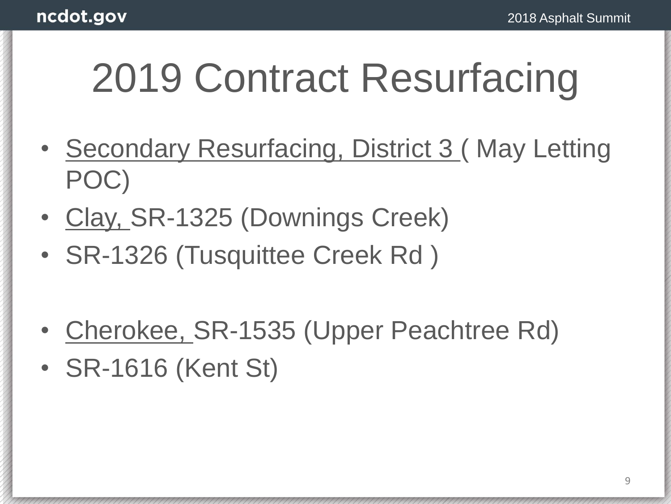- Secondary Resurfacing, District 3 ( May Letting POC)
- Clay, SR-1325 (Downings Creek)
- SR-1326 (Tusquittee Creek Rd )
- Cherokee, SR-1535 (Upper Peachtree Rd)
- SR-1616 (Kent St)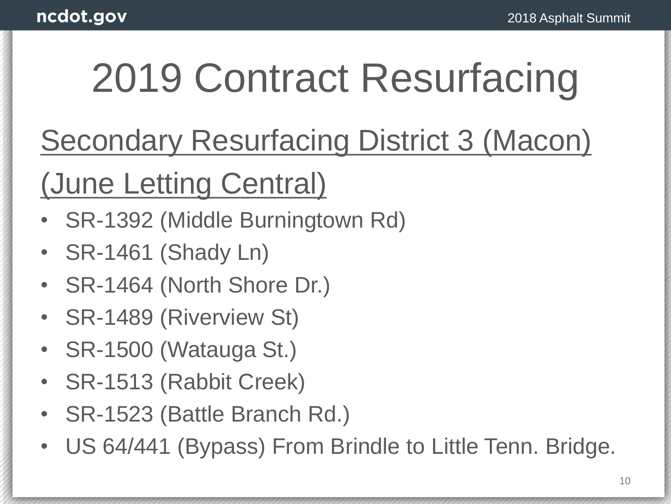Secondary Resurfacing District 3 (Macon)

(June Letting Central)

- SR-1392 (Middle Burningtown Rd)
- SR-1461 (Shady Ln)
- SR-1464 (North Shore Dr.)
- SR-1489 (Riverview St)
- SR-1500 (Watauga St.)
- SR-1513 (Rabbit Creek)
- SR-1523 (Battle Branch Rd.)
- US 64/441 (Bypass) From Brindle to Little Tenn. Bridge.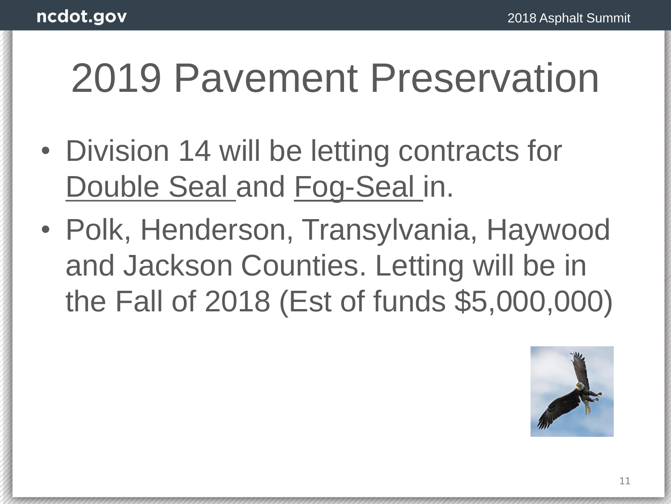#### 2019 Pavement Preservation

- Division 14 will be letting contracts for Double Seal and Fog-Seal in.
- Polk, Henderson, Transylvania, Haywood and Jackson Counties. Letting will be in the Fall of 2018 (Est of funds \$5,000,000)

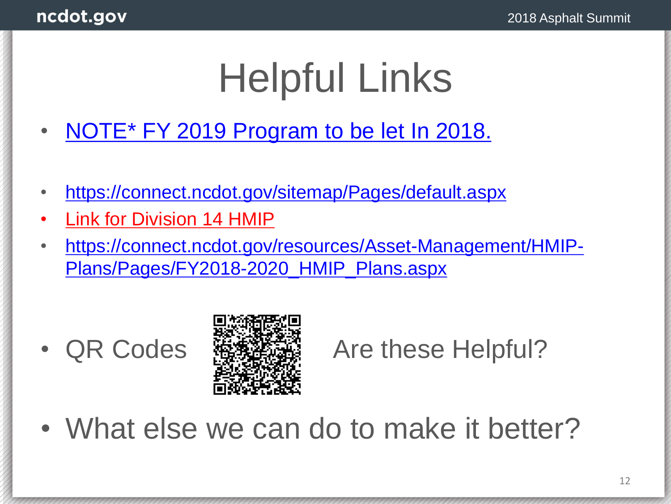### Helpful Links

- [NOTE\\* FY 2019 Program to be let In 2018.](https://connect.ncdot.gov/sitemap/Pages/default.aspx)
- <https://connect.ncdot.gov/sitemap/Pages/default.aspx>
- Link for Division 14 HMIP
- [https://connect.ncdot.gov/resources/Asset-Management/HMIP-](https://connect.ncdot.gov/resources/Asset-Management/HMIP-Plans/Pages/FY2018-2020_HMIP_Plans.aspx)Plans/Pages/FY2018-2020\_HMIP\_Plans.aspx



#### • QR Codes 酪類搭輪 Are these Helpful?

• What else we can do to make it better?